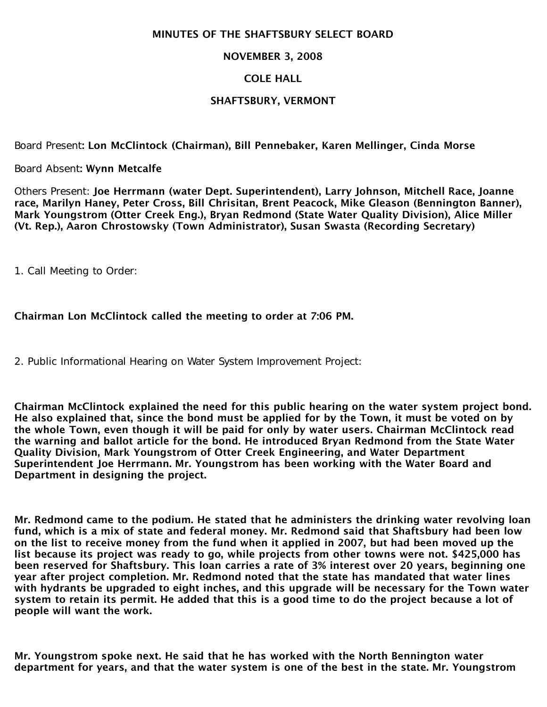#### MINUTES OF THE SHAFTSBURY SELECT BOARD

#### NOVEMBER 3, 2008

#### COLE HALL

#### SHAFTSBURY, VERMONT

Board Present: Lon McClintock (Chairman), Bill Pennebaker, Karen Mellinger, Cinda Morse

Board Absent: Wynn Metcalfe

Others Present: Joe Herrmann (water Dept. Superintendent), Larry Johnson, Mitchell Race, Joanne race, Marilyn Haney, Peter Cross, Bill Chrisitan, Brent Peacock, Mike Gleason (Bennington Banner), Mark Youngstrom (Otter Creek Eng.), Bryan Redmond (State Water Quality Division), Alice Miller (Vt. Rep.), Aaron Chrostowsky (Town Administrator), Susan Swasta (Recording Secretary)

1. Call Meeting to Order:

Chairman Lon McClintock called the meeting to order at 7:06 PM.

2. Public Informational Hearing on Water System Improvement Project:

Chairman McClintock explained the need for this public hearing on the water system project bond. He also explained that, since the bond must be applied for by the Town, it must be voted on by the whole Town, even though it will be paid for only by water users. Chairman McClintock read the warning and ballot article for the bond. He introduced Bryan Redmond from the State Water Quality Division, Mark Youngstrom of Otter Creek Engineering, and Water Department Superintendent Joe Herrmann. Mr. Youngstrom has been working with the Water Board and Department in designing the project.

Mr. Redmond came to the podium. He stated that he administers the drinking water revolving loan fund, which is a mix of state and federal money. Mr. Redmond said that Shaftsbury had been low on the list to receive money from the fund when it applied in 2007, but had been moved up the list because its project was ready to go, while projects from other towns were not. \$425,000 has been reserved for Shaftsbury. This loan carries a rate of 3% interest over 20 years, beginning one year after project completion. Mr. Redmond noted that the state has mandated that water lines with hydrants be upgraded to eight inches, and this upgrade will be necessary for the Town water system to retain its permit. He added that this is a good time to do the project because a lot of people will want the work.

Mr. Youngstrom spoke next. He said that he has worked with the North Bennington water department for years, and that the water system is one of the best in the state. Mr. Youngstrom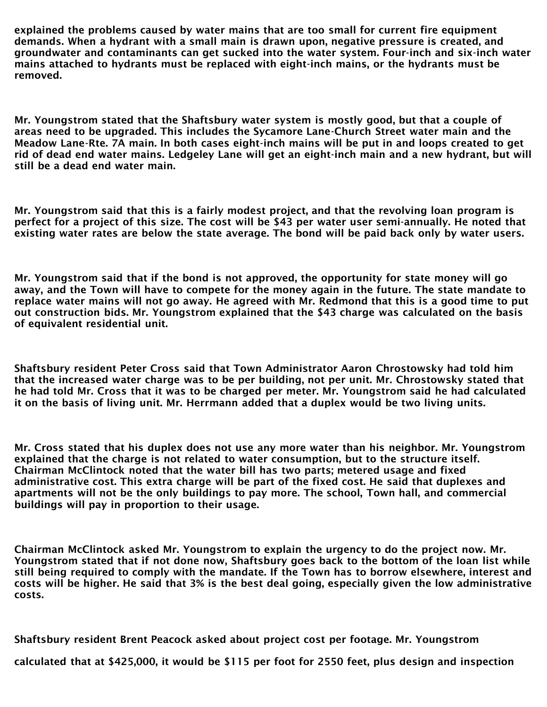explained the problems caused by water mains that are too small for current fire equipment demands. When a hydrant with a small main is drawn upon, negative pressure is created, and groundwater and contaminants can get sucked into the water system. Four-inch and six-inch water mains attached to hydrants must be replaced with eight-inch mains, or the hydrants must be removed.

Mr. Youngstrom stated that the Shaftsbury water system is mostly good, but that a couple of areas need to be upgraded. This includes the Sycamore Lane-Church Street water main and the Meadow Lane-Rte. 7A main. In both cases eight-inch mains will be put in and loops created to get rid of dead end water mains. Ledgeley Lane will get an eight-inch main and a new hydrant, but will still be a dead end water main.

Mr. Youngstrom said that this is a fairly modest project, and that the revolving loan program is perfect for a project of this size. The cost will be \$43 per water user semi-annually. He noted that existing water rates are below the state average. The bond will be paid back only by water users.

Mr. Youngstrom said that if the bond is not approved, the opportunity for state money will go away, and the Town will have to compete for the money again in the future. The state mandate to replace water mains will not go away. He agreed with Mr. Redmond that this is a good time to put out construction bids. Mr. Youngstrom explained that the \$43 charge was calculated on the basis of equivalent residential unit.

Shaftsbury resident Peter Cross said that Town Administrator Aaron Chrostowsky had told him that the increased water charge was to be per building, not per unit. Mr. Chrostowsky stated that he had told Mr. Cross that it was to be charged per meter. Mr. Youngstrom said he had calculated it on the basis of living unit. Mr. Herrmann added that a duplex would be two living units.

Mr. Cross stated that his duplex does not use any more water than his neighbor. Mr. Youngstrom explained that the charge is not related to water consumption, but to the structure itself. Chairman McClintock noted that the water bill has two parts; metered usage and fixed administrative cost. This extra charge will be part of the fixed cost. He said that duplexes and apartments will not be the only buildings to pay more. The school, Town hall, and commercial buildings will pay in proportion to their usage.

Chairman McClintock asked Mr. Youngstrom to explain the urgency to do the project now. Mr. Youngstrom stated that if not done now, Shaftsbury goes back to the bottom of the loan list while still being required to comply with the mandate. If the Town has to borrow elsewhere, interest and costs will be higher. He said that 3% is the best deal going, especially given the low administrative costs.

Shaftsbury resident Brent Peacock asked about project cost per footage. Mr. Youngstrom

calculated that at \$425,000, it would be \$115 per foot for 2550 feet, plus design and inspection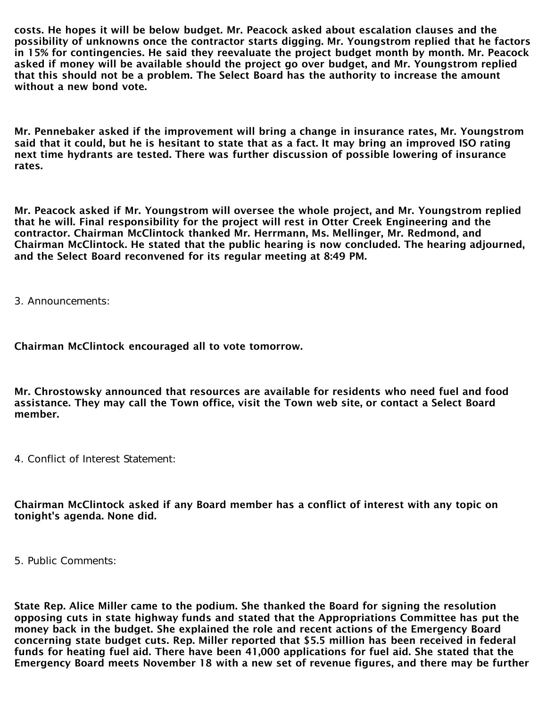costs. He hopes it will be below budget. Mr. Peacock asked about escalation clauses and the possibility of unknowns once the contractor starts digging. Mr. Youngstrom replied that he factors in 15% for contingencies. He said they reevaluate the project budget month by month. Mr. Peacock asked if money will be available should the project go over budget, and Mr. Youngstrom replied that this should not be a problem. The Select Board has the authority to increase the amount without a new bond vote.

Mr. Pennebaker asked if the improvement will bring a change in insurance rates, Mr. Youngstrom said that it could, but he is hesitant to state that as a fact. It may bring an improved ISO rating next time hydrants are tested. There was further discussion of possible lowering of insurance rates.

Mr. Peacock asked if Mr. Youngstrom will oversee the whole project, and Mr. Youngstrom replied that he will. Final responsibility for the project will rest in Otter Creek Engineering and the contractor. Chairman McClintock thanked Mr. Herrmann, Ms. Mellinger, Mr. Redmond, and Chairman McClintock. He stated that the public hearing is now concluded. The hearing adjourned, and the Select Board reconvened for its regular meeting at 8:49 PM.

3. Announcements:

Chairman McClintock encouraged all to vote tomorrow.

Mr. Chrostowsky announced that resources are available for residents who need fuel and food assistance. They may call the Town office, visit the Town web site, or contact a Select Board member.

4. Conflict of Interest Statement:

Chairman McClintock asked if any Board member has a conflict of interest with any topic on tonight's agenda. None did.

5. Public Comments:

State Rep. Alice Miller came to the podium. She thanked the Board for signing the resolution opposing cuts in state highway funds and stated that the Appropriations Committee has put the money back in the budget. She explained the role and recent actions of the Emergency Board concerning state budget cuts. Rep. Miller reported that \$5.5 million has been received in federal funds for heating fuel aid. There have been 41,000 applications for fuel aid. She stated that the Emergency Board meets November 18 with a new set of revenue figures, and there may be further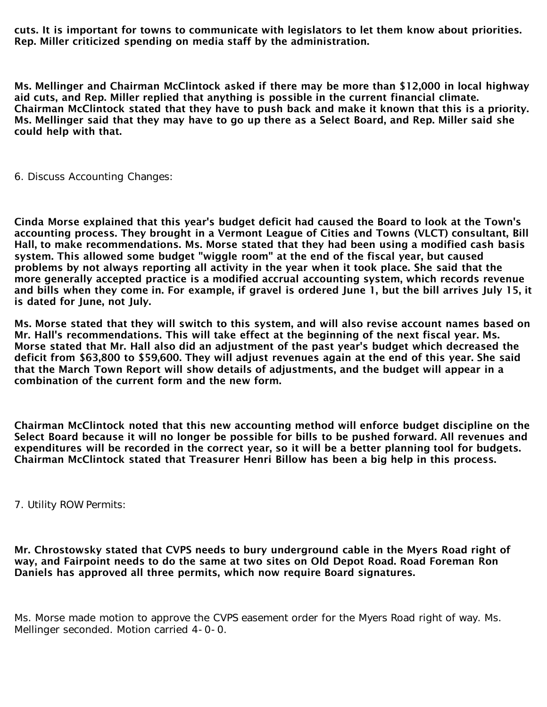cuts. It is important for towns to communicate with legislators to let them know about priorities. Rep. Miller criticized spending on media staff by the administration.

Ms. Mellinger and Chairman McClintock asked if there may be more than \$12,000 in local highway aid cuts, and Rep. Miller replied that anything is possible in the current financial climate. Chairman McClintock stated that they have to push back and make it known that this is a priority. Ms. Mellinger said that they may have to go up there as a Select Board, and Rep. Miller said she could help with that.

6. Discuss Accounting Changes:

Cinda Morse explained that this year's budget deficit had caused the Board to look at the Town's accounting process. They brought in a Vermont League of Cities and Towns (VLCT) consultant, Bill Hall, to make recommendations. Ms. Morse stated that they had been using a modified cash basis system. This allowed some budget "wiggle room" at the end of the fiscal year, but caused problems by not always reporting all activity in the year when it took place. She said that the more generally accepted practice is a modified accrual accounting system, which records revenue and bills when they come in. For example, if gravel is ordered June 1, but the bill arrives July 15, it is dated for June, not July.

Ms. Morse stated that they will switch to this system, and will also revise account names based on Mr. Hall's recommendations. This will take effect at the beginning of the next fiscal year. Ms. Morse stated that Mr. Hall also did an adjustment of the past year's budget which decreased the deficit from \$63,800 to \$59,600. They will adjust revenues again at the end of this year. She said that the March Town Report will show details of adjustments, and the budget will appear in a combination of the current form and the new form.

Chairman McClintock noted that this new accounting method will enforce budget discipline on the Select Board because it will no longer be possible for bills to be pushed forward. All revenues and expenditures will be recorded in the correct year, so it will be a better planning tool for budgets. Chairman McClintock stated that Treasurer Henri Billow has been a big help in this process.

7. Utility ROW Permits:

Mr. Chrostowsky stated that CVPS needs to bury underground cable in the Myers Road right of way, and Fairpoint needs to do the same at two sites on Old Depot Road. Road Foreman Ron Daniels has approved all three permits, which now require Board signatures.

Ms. Morse made motion to approve the CVPS easement order for the Myers Road right of way. Ms. Mellinger seconded. Motion carried 4-0-0.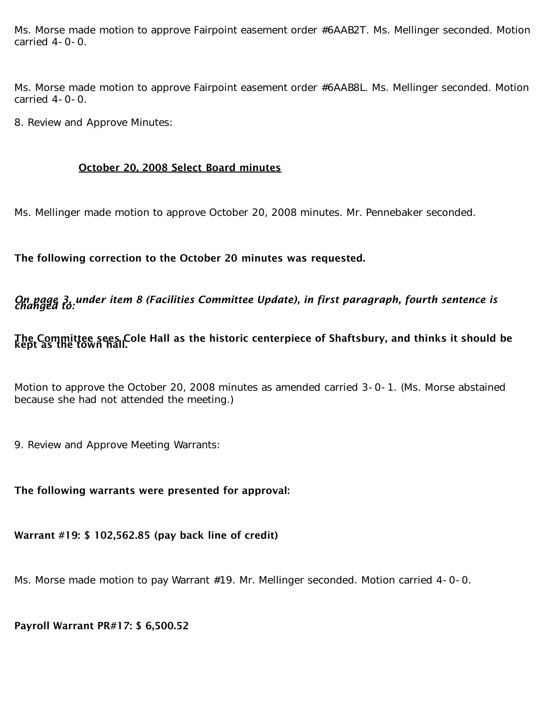Ms. Morse made motion to approve Fairpoint easement order #6AAB2T. Ms. Mellinger seconded. Motion carried 4-0-0.

Ms. Morse made motion to approve Fairpoint easement order #6AAB8L. Ms. Mellinger seconded. Motion carried 4-0-0.

8. Review and Approve Minutes:

#### October 20, 2008 Select Board minutes

Ms. Mellinger made motion to approve October 20, 2008 minutes. Mr. Pennebaker seconded.

The following correction to the October 20 minutes was requested.

*On page 3, under item 8 (Facilities Committee Update), in first paragraph, fourth sentence is changed to:*

### The Committee sees Cole Hall as the historic centerpiece of Shaftsbury, and thinks it should be<br>kept as the town hall.

Motion to approve the October 20, 2008 minutes as amended carried 3-0-1. (Ms. Morse abstained because she had not attended the meeting.)

9. Review and Approve Meeting Warrants:

#### The following warrants were presented for approval:

Warrant #19: \$ 102,562.85 (pay back line of credit)

Ms. Morse made motion to pay Warrant #19. Mr. Mellinger seconded. Motion carried 4-0-0.

#### Payroll Warrant PR#17: \$ 6,500.52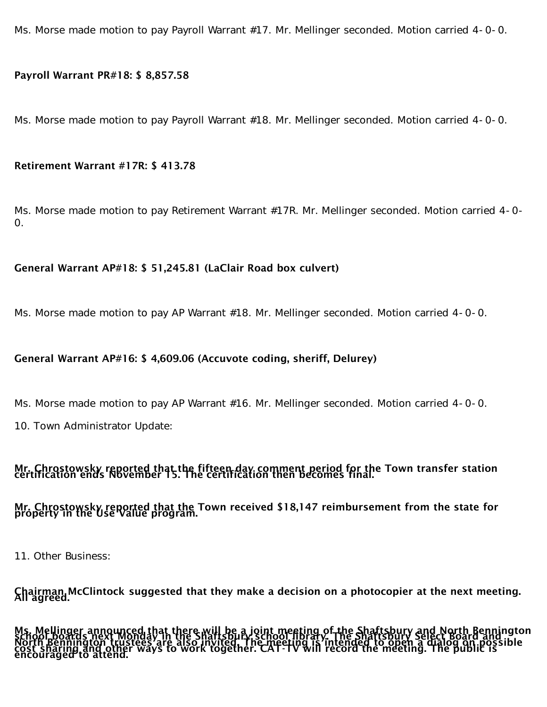Ms. Morse made motion to pay Payroll Warrant #17. Mr. Mellinger seconded. Motion carried 4-0-0.

#### Payroll Warrant PR#18: \$ 8,857.58

Ms. Morse made motion to pay Payroll Warrant #18. Mr. Mellinger seconded. Motion carried 4-0-0.

#### Retirement Warrant #17R: \$ 413.78

Ms. Morse made motion to pay Retirement Warrant #17R. Mr. Mellinger seconded. Motion carried 4-0-  $\Omega$ .

#### General Warrant AP#18: \$ 51,245.81 (LaClair Road box culvert)

Ms. Morse made motion to pay AP Warrant #18. Mr. Mellinger seconded. Motion carried 4-0-0.

#### General Warrant AP#16: \$ 4,609.06 (Accuvote coding, sheriff, Delurey)

Ms. Morse made motion to pay AP Warrant #16. Mr. Mellinger seconded. Motion carried 4-0-0.

10. Town Administrator Update:

## Mr. Chrostowsky reported that the fifteen day comment period for the Town transfer station<br>certification ends November 15. The certification then becomes final. Mr. Chrostowsky reported that the Town received \$18,147 reimbursement from the state for<br>property in the Use Value program.

11. Other Business:

Chairman McClintock suggested that they make a decision on a photocopier at the next meeting.<br>All agreed.

Ms. Mellinger announced that there will be a joint meeting of the Shaftsbury and North Bennington<br>School, bennington trustees are shaftspury school library. The Shaftsbury and North Bennington<br>North Bennington trustees are